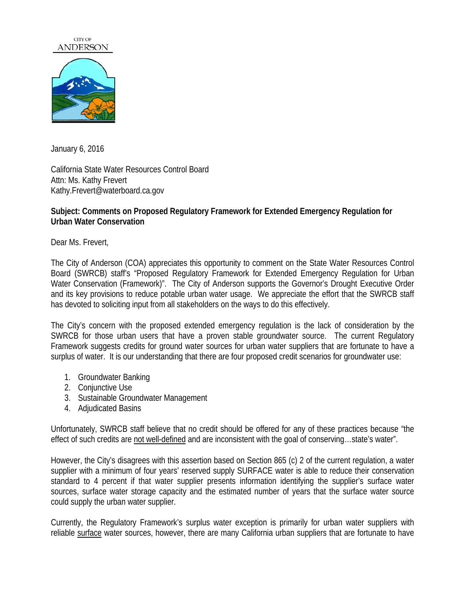## **CITY OF ANDERSON**



January 6, 2016

California State Water Resources Control Board Attn: Ms. Kathy Frevert Kathy.Frevert@waterboard.ca.gov

## **Subject: Comments on Proposed Regulatory Framework for Extended Emergency Regulation for Urban Water Conservation**

Dear Ms. Frevert,

The City of Anderson (COA) appreciates this opportunity to comment on the State Water Resources Control Board (SWRCB) staff's "Proposed Regulatory Framework for Extended Emergency Regulation for Urban Water Conservation (Framework)". The City of Anderson supports the Governor's Drought Executive Order and its key provisions to reduce potable urban water usage. We appreciate the effort that the SWRCB staff has devoted to soliciting input from all stakeholders on the ways to do this effectively.

The City's concern with the proposed extended emergency regulation is the lack of consideration by the SWRCB for those urban users that have a proven stable groundwater source. The current Regulatory Framework suggests credits for ground water sources for urban water suppliers that are fortunate to have a surplus of water. It is our understanding that there are four proposed credit scenarios for groundwater use:

- 1. Groundwater Banking
- 2. Conjunctive Use
- 3. Sustainable Groundwater Management
- 4. Adjudicated Basins

Unfortunately, SWRCB staff believe that no credit should be offered for any of these practices because "the effect of such credits are not well-defined and are inconsistent with the goal of conserving…state's water".

However, the City's disagrees with this assertion based on Section 865 (c) 2 of the current regulation, a water supplier with a minimum of four years' reserved supply SURFACE water is able to reduce their conservation standard to 4 percent if that water supplier presents information identifying the supplier's surface water sources, surface water storage capacity and the estimated number of years that the surface water source could supply the urban water supplier.

Currently, the Regulatory Framework's surplus water exception is primarily for urban water suppliers with reliable surface water sources, however, there are many California urban suppliers that are fortunate to have